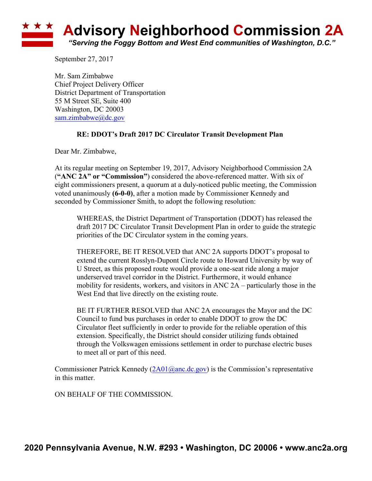## **Advisory Neighborhood Commission 2A** *"Serving the Foggy Bottom and West End communities of Washington, D.C."*

September 27, 2017

Mr. Sam Zimbabwe Chief Project Delivery Officer District Department of Transportation 55 M Street SE, Suite 400 Washington, DC 20003 sam.zimbabwe@dc.gov

## **RE: DDOT's Draft 2017 DC Circulator Transit Development Plan**

Dear Mr. Zimbabwe,

At its regular meeting on September 19, 2017, Advisory Neighborhood Commission 2A (**"ANC 2A" or "Commission"**) considered the above-referenced matter. With six of eight commissioners present, a quorum at a duly-noticed public meeting, the Commission voted unanimously **(6-0-0)**, after a motion made by Commissioner Kennedy and seconded by Commissioner Smith, to adopt the following resolution:

WHEREAS, the District Department of Transportation (DDOT) has released the draft 2017 DC Circulator Transit Development Plan in order to guide the strategic priorities of the DC Circulator system in the coming years.

THEREFORE, BE IT RESOLVED that ANC 2A supports DDOT's proposal to extend the current Rosslyn-Dupont Circle route to Howard University by way of U Street, as this proposed route would provide a one-seat ride along a major underserved travel corridor in the District. Furthermore, it would enhance mobility for residents, workers, and visitors in ANC 2A – particularly those in the West End that live directly on the existing route.

BE IT FURTHER RESOLVED that ANC 2A encourages the Mayor and the DC Council to fund bus purchases in order to enable DDOT to grow the DC Circulator fleet sufficiently in order to provide for the reliable operation of this extension. Specifically, the District should consider utilizing funds obtained through the Volkswagen emissions settlement in order to purchase electric buses to meet all or part of this need.

Commissioner Patrick Kennedy  $(2A01@anc.dc.gov)$  is the Commission's representative in this matter.

ON BEHALF OF THE COMMISSION.